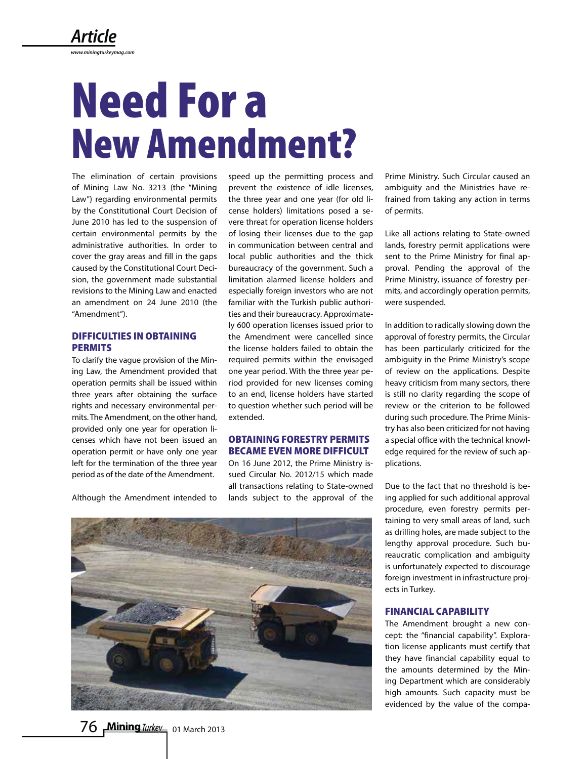# **Need For a New Amendment?**

The elimination of certain provisions of Mining Law No. 3213 (the "Mining Law") regarding environmental permits by the Constitutional Court Decision of June 2010 has led to the suspension of certain environmental permits by the administrative authorities. In order to cover the gray areas and fill in the gaps caused by the Constitutional Court Decision, the government made substantial revisions to the Mining Law and enacted an amendment on 24 June 2010 (the "Amendment").

# **DIFFICULTIES IN OBTAINING PERMITS**

To clarify the vague provision of the Mining Law, the Amendment provided that operation permits shall be issued within three years after obtaining the surface rights and necessary environmental permits. The Amendment, on the other hand, provided only one year for operation licenses which have not been issued an operation permit or have only one year left for the termination of the three year period as of the date of the Amendment.

Although the Amendment intended to

speed up the permitting process and prevent the existence of idle licenses, the three year and one year (for old license holders) limitations posed a severe threat for operation license holders of losing their licenses due to the gap in communication between central and local public authorities and the thick bureaucracy of the government. Such a limitation alarmed license holders and especially foreign investors who are not familiar with the Turkish public authorities and their bureaucracy. Approximately 600 operation licenses issued prior to the Amendment were cancelled since the license holders failed to obtain the required permits within the envisaged one year period. With the three year period provided for new licenses coming to an end, license holders have started to question whether such period will be extended.

# **OBTAINING FORESTRY PERMITS BECAME EVEN MORE DIFFICULT**

On 16 June 2012, the Prime Ministry issued Circular No. 2012/15 which made all transactions relating to State-owned lands subject to the approval of the Prime Ministry. Such Circular caused an ambiguity and the Ministries have refrained from taking any action in terms of permits.

Like all actions relating to State-owned lands, forestry permit applications were sent to the Prime Ministry for final approval. Pending the approval of the Prime Ministry, issuance of forestry permits, and accordingly operation permits, were suspended.

In addition to radically slowing down the approval of forestry permits, the Circular has been particularly criticized for the ambiguity in the Prime Ministry's scope of review on the applications. Despite heavy criticism from many sectors, there is still no clarity regarding the scope of review or the criterion to be followed during such procedure. The Prime Ministry has also been criticized for not having a special office with the technical knowledge required for the review of such applications.

Due to the fact that no threshold is being applied for such additional approval procedure, even forestry permits pertaining to very small areas of land, such as drilling holes, are made subject to the lengthy approval procedure. Such bureaucratic complication and ambiguity is unfortunately expected to discourage foreign investment in infrastructure projects in Turkey.

## **FINANCIAL CAPABILITY**

The Amendment brought a new concept: the "financial capability". Exploration license applicants must certify that they have financial capability equal to the amounts determined by the Mining Department which are considerably high amounts. Such capacity must be evidenced by the value of the compa-